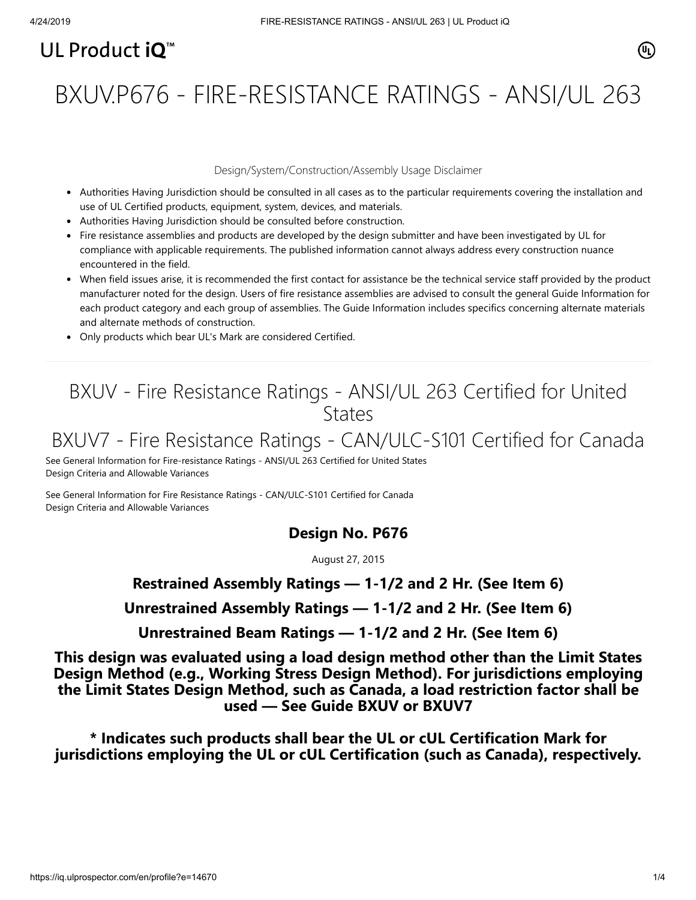# UL Product  $i\mathbf{O}^m$

# BXUV.P676 - FIRE-RESISTANCE RATINGS - ANSI/UL 263

#### Design/System/Construction/Assembly Usage Disclaimer

- Authorities Having Jurisdiction should be consulted in all cases as to the particular requirements covering the installation and use of UL Certified products, equipment, system, devices, and materials.
- Authorities Having Jurisdiction should be consulted before construction.
- Fire resistance assemblies and products are developed by the design submitter and have been investigated by UL for compliance with applicable requirements. The published information cannot always address every construction nuance encountered in the field.
- When field issues arise, it is recommended the first contact for assistance be the technical service staff provided by the product manufacturer noted for the design. Users of fire resistance assemblies are advised to consult the general Guide Information for each product category and each group of assemblies. The Guide Information includes specifics concerning alternate materials and alternate methods of construction.
- Only products which bear UL's Mark are considered Certified.

## BXUV - Fire Resistance Ratings - ANSI/UL 263 Certified for United **States**

# BXUV7 - Fire Resistance Ratings - CAN/ULC-S101 Certified for Canada

[See General Information for Fire-resistance Ratings - ANSI/UL 263 Certified for United States](https://iq.ulprospector.com/cgi-bin/XYV/template/LISEXT/1FRAME/showpage.html?name=BXUV.GuideInfo&ccnshorttitle=Fire-resistance+Ratings+-+ANSI/UL+263&objid=1074327030&cfgid=1073741824&version=versionless&parent_id=1073984818&sequence=1) Design Criteria and Allowable Variances

[See General Information for Fire Resistance Ratings - CAN/ULC-S101 Certified for Canada](https://iq.ulprospector.com/cgi-bin/XYV/template/LISEXT/1FRAME/showpage.html?name=BXUV7.GuideInfo&ccnshorttitle=Fire+Resistance+Ratings+-+CAN/ULC-S101+Certified+for+Canada&objid=1074205658&cfgid=1073741824&version=versionless&parent_id=1073984820&sequence=1) Design Criteria and Allowable Variances

### **Design No. P676**

August 27, 2015

### **Restrained Assembly Ratings — 1-1/2 and 2 Hr. (See Item 6)**

**Unrestrained Assembly Ratings — 1-1/2 and 2 Hr. (See Item 6)**

**Unrestrained Beam Ratings — 1-1/2 and 2 Hr. (See Item 6)**

**This design was evaluated using a load design method other than the Limit States Design Method (e.g., Working Stress Design Method). For jurisdictions employing the Limit States Design Method, such as Canada, a load restriction factor shall be used — See Guide [BXUV](http://database.ul.com/cgi-bin/XYV/template/LISEXT/1FRAME/showpage.html?name=BXUV.GuideInfo&ccnshorttitle=Fire-resistance+Ratings+-+ANSI/UL+263&objid=1074327030&cfgid=1073741824&version=versionless&parent_id=1073984818&sequence=1) or [BXUV7](http://database.ul.com/cgi-bin/XYV/template/LISEXT/1FRAME/showpage.html?name=BXUV7.GuideInfo&ccnshorttitle=Fire+Resistance+Ratings+-+CAN/ULC-S101M+Certified+for+Canada&objid=1074205658&cfgid=1073741824&version=versionless&parent_id=1073984820&sequence=1)**

**\* Indicates such products shall bear the UL or cUL Certification Mark for jurisdictions employing the UL or cUL Certification (such as Canada), respectively.**

⁄ඔ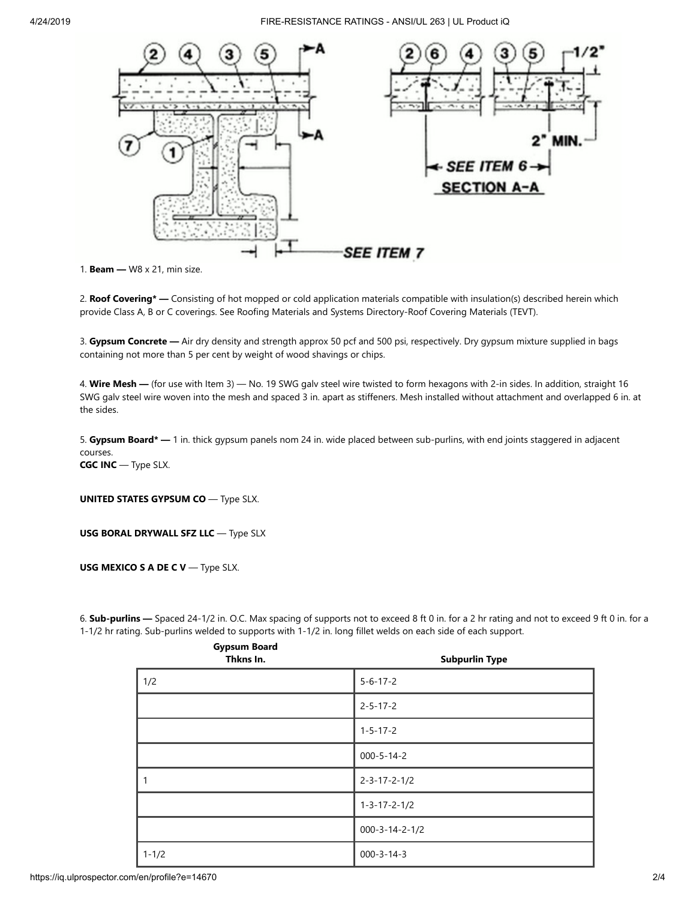

1. **Beam —** W8 x 21, min size.

2. **Roof Covering\* —** Consisting of hot mopped or cold application materials compatible with insulation(s) described herein which provide Class A, B or C coverings. See Roofing Materials and Systems Directory-Roof Covering Materials (TEVT).

3. **Gypsum Concrete —** Air dry density and strength approx 50 pcf and 500 psi, respectively. Dry gypsum mixture supplied in bags containing not more than 5 per cent by weight of wood shavings or chips.

4. **Wire Mesh —** (for use with Item 3) — No. 19 SWG galv steel wire twisted to form hexagons with 2-in sides. In addition, straight 16 SWG galv steel wire woven into the mesh and spaced 3 in. apart as stiffeners. Mesh installed without attachment and overlapped 6 in. at the sides.

5. **Gypsum Board\* —** 1 in. thick gypsum panels nom 24 in. wide placed between sub-purlins, with end joints staggered in adjacent courses.

**CGC INC** — Type SLX.

**UNITED STATES GYPSUM CO** — Type SLX.

**USG BORAL DRYWALL SFZ LLC** — Type SLX

**Gypsum Board**

**USG MEXICO S A DE C V** — Type SLX.

6. **Sub-purlins —** Spaced 24-1/2 in. O.C. Max spacing of supports not to exceed 8 ft 0 in. for a 2 hr rating and not to exceed 9 ft 0 in. for a 1-1/2 hr rating. Sub-purlins welded to supports with 1-1/2 in. long fillet welds on each side of each support.

| . .<br>Thkns In. | <b>Subpurlin Type</b>    |
|------------------|--------------------------|
| 1/2              | $5 - 6 - 17 - 2$         |
|                  | $2 - 5 - 17 - 2$         |
|                  | $1 - 5 - 17 - 2$         |
|                  | $000 - 5 - 14 - 2$       |
| $\overline{1}$   | $2 - 3 - 17 - 2 - 1/2$   |
|                  | $1 - 3 - 17 - 2 - 1/2$   |
|                  | $000 - 3 - 14 - 2 - 1/2$ |
| $1 - 1/2$        | $000 - 3 - 14 - 3$       |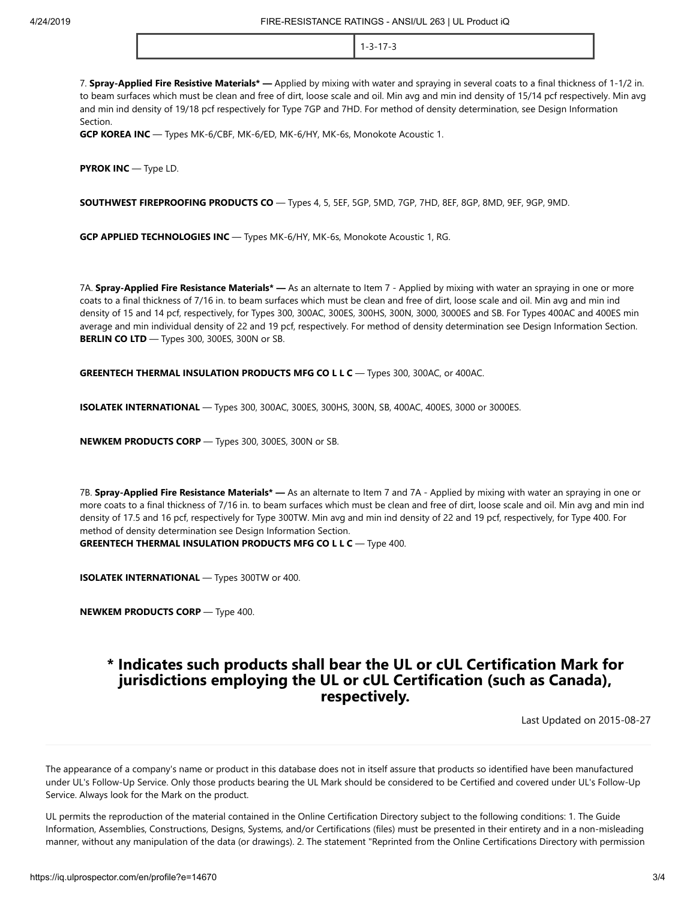1-3-17-3

7. **Spray-Applied Fire Resistive Materials\* —** Applied by mixing with water and spraying in several coats to a final thickness of 1-1/2 in. to beam surfaces which must be clean and free of dirt, loose scale and oil. Min avg and min ind density of 15/14 pcf respectively. Min avg and min ind density of 19/18 pcf respectively for Type 7GP and 7HD. For method of density determination, see Design Information Section.

**GCP KOREA INC** — Types MK-6/CBF, MK-6/ED, MK-6/HY, MK-6s, Monokote Acoustic 1.

**PYROK INC** — Type LD.

**SOUTHWEST FIREPROOFING PRODUCTS CO** — Types 4, 5, 5EF, 5GP, 5MD, 7GP, 7HD, 8EF, 8GP, 8MD, 9EF, 9GP, 9MD.

**GCP APPLIED TECHNOLOGIES INC** — Types MK-6/HY, MK-6s, Monokote Acoustic 1, RG.

7A. **Spray-Applied Fire Resistance Materials\* —** As an alternate to Item 7 - Applied by mixing with water an spraying in one or more coats to a final thickness of 7/16 in. to beam surfaces which must be clean and free of dirt, loose scale and oil. Min avg and min ind density of 15 and 14 pcf, respectively, for Types 300, 300AC, 300ES, 300HS, 300N, 3000, 3000ES and SB. For Types 400AC and 400ES min average and min individual density of 22 and 19 pcf, respectively. For method of density determination see Design Information Section. **BERLIN CO LTD** — Types 300, 300ES, 300N or SB.

**GREENTECH THERMAL INSULATION PRODUCTS MFG CO L L C** — Types 300, 300AC, or 400AC.

**ISOLATEK INTERNATIONAL** — Types 300, 300AC, 300ES, 300HS, 300N, SB, 400AC, 400ES, 3000 or 3000ES.

**NEWKEM PRODUCTS CORP** — Types 300, 300ES, 300N or SB.

7B. **Spray-Applied Fire Resistance Materials\* —** As an alternate to Item 7 and 7A - Applied by mixing with water an spraying in one or more coats to a final thickness of 7/16 in. to beam surfaces which must be clean and free of dirt, loose scale and oil. Min avg and min ind density of 17.5 and 16 pcf, respectively for Type 300TW. Min avg and min ind density of 22 and 19 pcf, respectively, for Type 400. For method of density determination see Design Information Section.

**GREENTECH THERMAL INSULATION PRODUCTS MFG CO L L C** — Type 400.

**ISOLATEK INTERNATIONAL** — Types 300TW or 400.

**NEWKEM PRODUCTS CORP** — Type 400.

#### **\* Indicates such products shall bear the UL or cUL Certification Mark for jurisdictions employing the UL or cUL Certification (such as Canada), respectively.**

[Last Updated](javascript:openit() on 2015-08-27

The appearance of a company's name or product in this database does not in itself assure that products so identified have been manufactured under UL's Follow-Up Service. Only those products bearing the UL Mark should be considered to be Certified and covered under UL's Follow-Up Service. Always look for the Mark on the product.

UL permits the reproduction of the material contained in the Online Certification Directory subject to the following conditions: 1. The Guide Information, Assemblies, Constructions, Designs, Systems, and/or Certifications (files) must be presented in their entirety and in a non-misleading manner, without any manipulation of the data (or drawings). 2. The statement "Reprinted from the Online Certifications Directory with permission